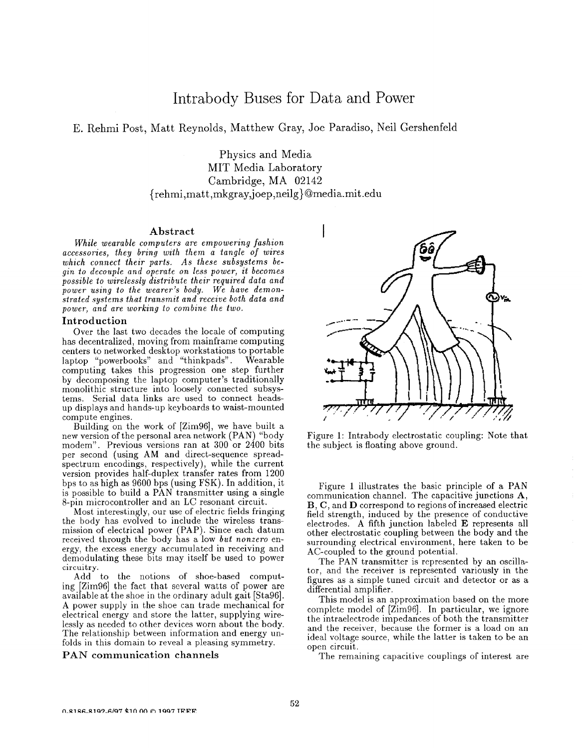# Intrabody Buses for Data and Power

# E. Rehmi Post, Matt Reynolds, Matthew Gray, Joe Paradiso, Neil Gershenfeld

Physics and Media MIT Media Laboratory Cambridge, MA 02142  ${rehmi,matt,mkgrav,joep,neilg}@media.mit.edu$ 

# **Abstract**

*While wearable computers are empowering fashion accessories, they bring with them a tangle of wares which connect their parts. As these subsystems begin to decouple and operate on less power, it becomes possible to wirelessly distribute their required data and power using to the wearer's body. We have demonstrated systems that transmit and receive both data and power, and are working to combine the two.* 

## **Introduction**

Over the last two decades the locale of computing has decentralized, moving from mainframe computing centers to networked desktop workstations to portable laptop "powerbooks" and "thinkpads". Wearable computing takes this progression one step further by decomposing the laptop computer's traditionally monolithic structure into loosely connected subsystems. Serial data links are used to connect headsup displays and hands-up keyboards to waist-mounted compute engines.

Building on the work of [Zim96], we have built a new version of the personal area network (PAN) "body modem". Previous versions ran at 300 or 2400 bits per second (using **AM** and direct-sequence spreadspectrum encodings, respectively), while the current version provides half-duplex transfer rates from 1200 bps to as high **as** 9600 bps (using FSK). In addition, it is possible to build a PAN transmitter using a single 8-pin microcontroller and an LC resonant circuit.

Most interestingly, our use of electric fields fringing the body has evolved to include the wireless transmission of electrical power (PAP). Since each datum received through the body has a low *but nonzero* energy, the excess energy accumulated in receiving and demodulating these bits may itself be used to power **circuitry.** 

Add to the notions of shoe-based computing [Zim96] the fact that several watts of power are available at the shoe in the ordinary adult gait [Sta96]. **A** power supply in the shoe can trade mechanical for electrical energy and store the latter, supplying wirelessly as needed to other devices worn about the body. The relationship between information and energy unfolds in this domain to reveal a pleasing symmetry.

## **PAN communication channels**



Figure 1: Intrabody electrostatic coupling: Note that the subject is floating above ground.

Figure 1 illustrates the basic principle of a PAN communication channel. The capacitive junctions  $A$ , **B, C,** and **D** correspond to regions of increased electric field strength, induced by the presence of conductive electrodes. **A** fifth junction labeled **E** represents all other electrostatic coupling between the body and the surrounding electrical environment, here taken to be AC-coupled to the ground potential.

The PAN transmitter is represented by an oscillator, and the receiver is represented variously in the figures as a simple tuned circuit and detector or as a differential amplifier.

This model is an approximation based on the more complete model of [Zim96]. In particular, we ignore the intraelectrode impedances of both the transmitter and the receiver, because the former is a load on an ideal voltage source, while the latter is taken to be an open circuit.

The remaining capacitive couplings of interest are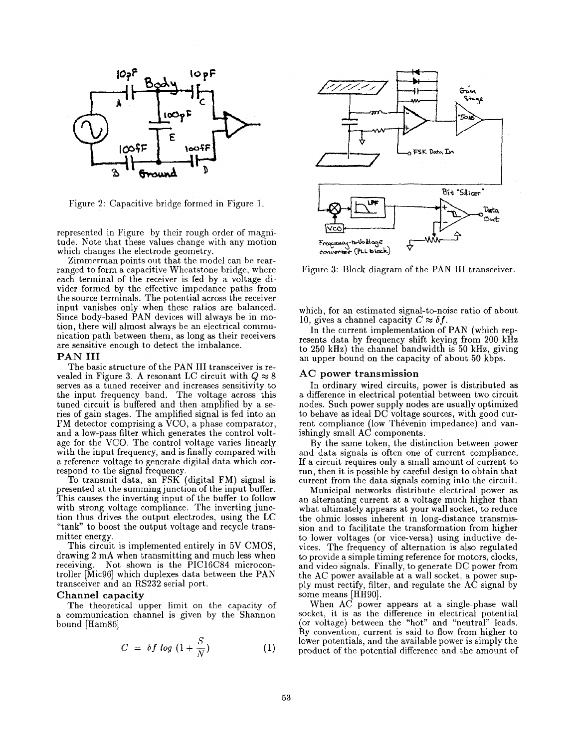

Figure 2: Capacitive bridge formed in Figure 1.

represented in Figure by their rough order of magnitude. Note that these values change with any motion which changes the electrode geometry.

Zimmerman points out that the model can be rearranged to form a capacitive Wheatstone bridge, where each terminal of the receiver is fed by a voltage divider formed by the effective impedance paths from the source terminals. The potential across the receiver input vanishes only when these ratios are balanced. Since body-based PAN devices will always be in motion, there will almost always be an electrical communication path between them, as long **as** their receivers are sensitive enough to detect the imbalance.

#### **PAN I11**

The basic structure of the PAN III transceiver is revealed in Figure 3. A resonant LC circuit with  $Q \approx 8$ serves as a tuned receiver and increases sensitivity to the input frequency band. The voltage across this tuned circuit is buffered and then amplified by a series of gain stages. The amplified signal is fed into an FM detector comprising a VCO, a phase comparator, and a low-pass filter which generates the control voltage for the VCO. The control voltage varies linearly with the input frequency, and is finally compared with a reference voltage to generate digital data which correspond to the signal frequency.

To transmit data, an FSK (digital FM) signal is presented at the summing junction of the input buffer. This causes the inverting input of the buffer to follow with strong voltage compliance. The inverting junction thus drives the output electrodes, using the LC "tank" to boost the output voltage and recycle transmitter energy.

This circuit is implemented entirely in 5V CMOS, drawing 2 mA when transmitting and much less when receiving. Not shown is the PIC16C84 microcontroller [Mic96] which duplexes data between the PAN transceiver and an RS232 serial port.

#### Channel capacity

The theoretical upper limit on the capacity of a communication channel is given by the Shannon bound [Ham86]

$$
C = \delta f \log \left(1 + \frac{S}{N}\right) \tag{1}
$$



Figure 3: Block diagram of the PAN III transceiver.

which, for an estimated signal-to-noise ratio of about 10, gives a channel capacity  $C \approx \delta f$ .

In the current implementation of PAN (which represents data by frequency shift keying from 200 **kHz**  to 250 kHz) the channel bandwidth is 50 kHz, giving an upper bound on the capacity of about 50 kbps.

## AC power transmission

In ordinary wired circuits, power is distributed as a difference in electrical potential between two circuit nodes. Such power supply nodes are usually optimized to behave as ideal DC voltage sources, with good current compliance (low Thévenin impedance) and vanishingly small  $AC$  components.

By the same token, the distinction between power and data signals is often one of current compliance. If a circuit requires only a small amount of current to run, then it is possible by careful design to obtain that current from the data signals coming into the circuit.

Municipal networks distribute electrical power as an alternating current at a voltage much higher than what ultimately appears at your wall socket, to reduce the ohmic losses inherent in long-distance transmission and to facilitate the transformation from higher to lower voltages (or vice-versa) using inductive devices. The frequency of alternation is also regulated to provide a simple timing reference for motors, clocks, and video signals. Finally, to generate DC power from the AC power available at a wall socket, a power supply must rectify, filter, and regulate the AC signal by some means [HH90].

When AC power appears at a single-phase wall socket, it is as the difference in electrical potential (or voltage) between the "hot" and "neutral" leads. By convention, current is said to flow from higher to lower potentials, and the available power is simply the product of the potential difference and the amount of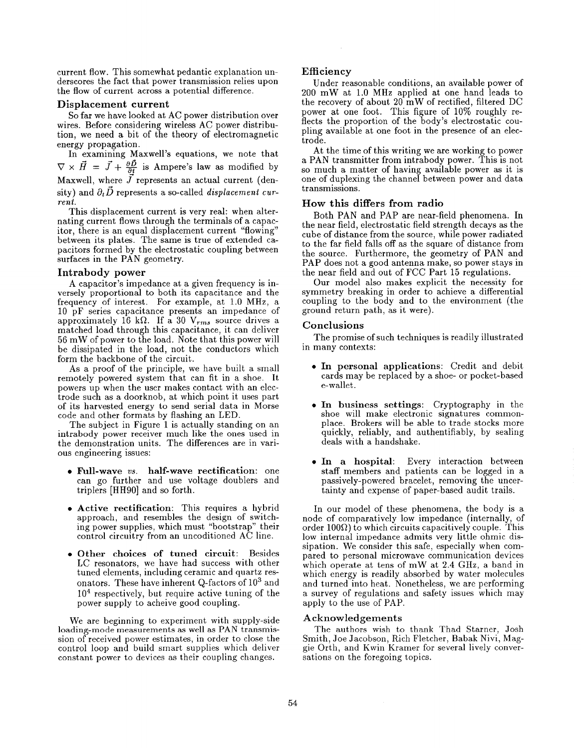current flow. This somewhat pedantic explanation underscores the fact that power transmission relies upon the flow of current across a potential difference.

#### **Displacement current**

So far we have looked at AC power distribution over wires. Before considering wireless AC power distribution, we need a bit of the theory of electromagnetic energy propagation.

In examining Maxwell's equations, we note that  $\nabla \times \vec{H} = \vec{J} + \frac{\partial \vec{D}}{\partial t}$  is Ampere's law as modified by Maxwell, where  $\overline{J}$  represents an actual current (density) and  $\partial_t \vec{D}$  represents a so-called *displacement current.* 

This displacement current is very real: when alternating current flows through the terminals of a capacitor, there is an equal displacement current "flowing" between its plates. The same is true of extended capacitors formed by the electrostatic coupling between surfaces in the PAN geometry.

#### **Intrabody power**

A capacitor's impedance at a given frequency is inversely proportional to both its capacitance and the frequency of interest. For example, at 1.0 MHz, a 10 pF series capacitance presents an impedance of approximately 16 k $\Omega$ . If a 30  $V_{rms}$  source drives a matched load through this capacitance, it can deliver 56 mW of power to the load. Note that this power will be dissipated in the load, not the conductors which form the backbone of the circuit.

As a proof of the principle, we have built a small remotely powered system that can fit in a shoe. It powers up when the user makes contact with an electrode such as a doorknob, at which point it uses part of its harvested energy to send serial data in Morse code and other formats by flashing an LED.

The subject in Figure 1 is actually standing on an intrabody power receiver much like the ones used in the demonstration units. The differences are in various engineering issues:

- **Full-wave** *vs.* **half-wave rectification:** one can go further and use voltage doublers and triplers [HH90] and so forth.
- **0 Active rectification:** This requires a hybrid approach, and resembles the design of switching power supplies, which must "bootstrap" their control circuitry from an uncoditioned AC line.
- *<sup>0</sup>***Other choices of tuned circuit:** Besides LC resonators, we have had success with other tuned elements, including ceramic and quartz resonators. These have inherent Q-factors of  $10^3$  and  $10<sup>4</sup>$  respectively, but require active tuning of the power supply to acheive good coupling.

We are beginning to experiment with supply-side loading-mode measurements **as** well as **PAN** transmission of received power estimates, in order to close the control loop and build smart supplies which deliver constant power to devices as their coupling changes.

# **Efficiency**

Under reasonable conditions, an available power of 200 mW at 1.0 MHz applied at one hand leads to the recovery of about 20 mW of rectified, filtered DC power at one foot. This figure of 10% roughly reflects the proportion of the body's electrostatic coupling available at one foot in the presence of an electrode.

At the time of this writing we are working to power a PAN transmitter from intrabody power. This is not *so* much a matter of having available power as it is one of duplexing the channel between power and data transmissions.

## **How this differs from radio**

Both PAN and PAP are near-field phenomena. In the near field, electrostatic field strength decays as the cube of distance from the source, while power radiated to the far field falls off as the square of distance from the source. Furthermore, the geometry of PAN and PAP does not a good antenna make, so power stays in the near field and out of FCC Part 15 regulations.

Our model also makes explicit the necessity for symmetry breaking in order to achieve a differential coupling to the body and to the environment (the ground return path, as it were).

#### **Conclusions**

in many contexts: The promise of such techniques is readily illustrated

- **In personal applications:** Credit and debit cards may be replaced by a shoe- or pocket-based e-wallet.
- **In business settings:** Cryptography in the shoe will make electronic signatures commonplace. Brokers will be able to trade stocks more quickly, reliably, and authentifiably, by sealing deals with a handshake.
- **In a hospital:** Every interaction between staff members and patients can be logged in a passively-powered bracelet, removing the uncertainty and expense of paper-based audit trails.

In our model of these phenomena, the body is a node of comparatively low impedance (internally, of order 100 $\Omega$ ) to which circuits capacitively couple. This low internal impedance admits very little ohmic dissipation. We consider this safe, especially when compared to personal microwave communication devices which operate at tens of mW at 2.4 GHz, a band in which energy is readily absorbed by water molecules and turned into heat. Nonetheless, we are performing a survey of regulations and safety issues which may apply to the use of PAP.

#### **Acknowledgements**

The authors wish to thank Thad Starner, Josh Smith, Joe Jacobson, Rich Fletcher, Babak Nivi, Maggie Orth, and Kwin Kramer for several lively conversations on the foregoing topics.